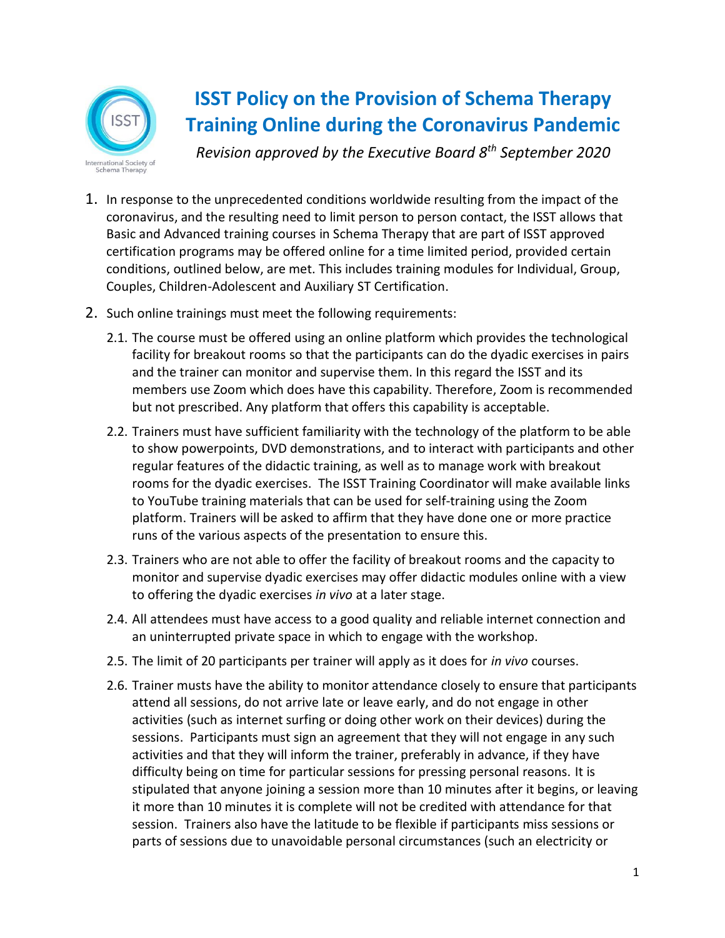

## **ISST Policy on the Provision of Schema Therapy Training Online during the Coronavirus Pandemic**

*Revision approved by the Executive Board 8th September 2020*

- 1. In response to the unprecedented conditions worldwide resulting from the impact of the coronavirus, and the resulting need to limit person to person contact, the ISST allows that Basic and Advanced training courses in Schema Therapy that are part of ISST approved certification programs may be offered online for a time limited period, provided certain conditions, outlined below, are met. This includes training modules for Individual, Group, Couples, Children-Adolescent and Auxiliary ST Certification.
- 2. Such online trainings must meet the following requirements:
	- 2.1. The course must be offered using an online platform which provides the technological facility for breakout rooms so that the participants can do the dyadic exercises in pairs and the trainer can monitor and supervise them. In this regard the ISST and its members use Zoom which does have this capability. Therefore, Zoom is recommended but not prescribed. Any platform that offers this capability is acceptable.
	- 2.2. Trainers must have sufficient familiarity with the technology of the platform to be able to show powerpoints, DVD demonstrations, and to interact with participants and other regular features of the didactic training, as well as to manage work with breakout rooms for the dyadic exercises. The ISST Training Coordinator will make available links to YouTube training materials that can be used for self-training using the Zoom platform. Trainers will be asked to affirm that they have done one or more practice runs of the various aspects of the presentation to ensure this.
	- 2.3. Trainers who are not able to offer the facility of breakout rooms and the capacity to monitor and supervise dyadic exercises may offer didactic modules online with a view to offering the dyadic exercises *in vivo* at a later stage.
	- 2.4. All attendees must have access to a good quality and reliable internet connection and an uninterrupted private space in which to engage with the workshop.
	- 2.5. The limit of 20 participants per trainer will apply as it does for *in vivo* courses.
	- 2.6. Trainer musts have the ability to monitor attendance closely to ensure that participants attend all sessions, do not arrive late or leave early, and do not engage in other activities (such as internet surfing or doing other work on their devices) during the sessions. Participants must sign an agreement that they will not engage in any such activities and that they will inform the trainer, preferably in advance, if they have difficulty being on time for particular sessions for pressing personal reasons. It is stipulated that anyone joining a session more than 10 minutes after it begins, or leaving it more than 10 minutes it is complete will not be credited with attendance for that session. Trainers also have the latitude to be flexible if participants miss sessions or parts of sessions due to unavoidable personal circumstances (such an electricity or